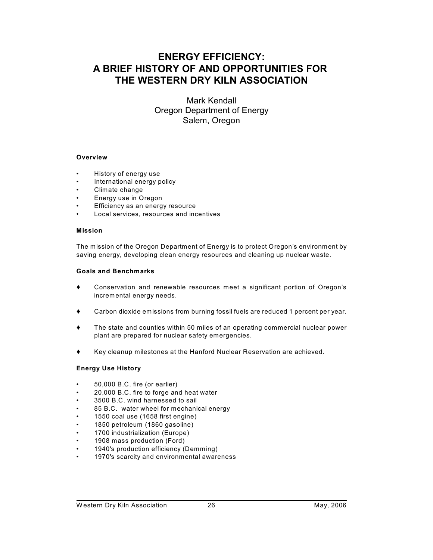# **ENERGY EFFICIENCY: A BRIEF HISTORY OF AND OPPORTUNITIES FOR THE WESTERN DRY KILN ASSOCIATION**

Mark Kendall Oregon Department of Energy Salem, Oregon

#### **Overview**

- History of energy use
- International energy policy
- Climate change
- Energy use in Oregon
- Efficiency as an energy resource
- Local services, resources and incentives

#### **Mission**

The mission of the Oregon Department of Energy is to protect Oregon's environment by saving energy, developing clean energy resources and cleaning up nuclear waste.

#### **Goals and Benchmarks**

- Conservation and renewable resources meet a significant portion of Oregon's incremental energy needs.
- Carbon dioxide emissions from burning fossil fuels are reduced 1 percent per year.
- The state and counties within 50 miles of an operating commercial nuclear power plant are prepared for nuclear safety emergencies.
- Key cleanup milestones at the Hanford Nuclear Reservation are achieved.

#### **Energy Use History**

- 50,000 B.C. fire (or earlier)
- 20,000 B.C. fire to forge and heat water
- 3500 B.C. wind harnessed to sail
- 85 B.C. water wheel for mechanical energy
- 1550 coal use (1658 first engine)
- 1850 petroleum (1860 gasoline)
- 1700 industrialization (Europe)
- 1908 mass production (Ford)
- 1940's production efficiency (Demming)
- 1970's scarcity and environmental awareness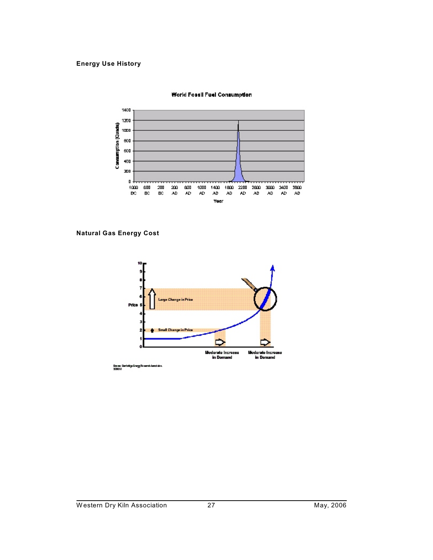# **Energy Use History**



#### World Fossil Fuel Consumption

**Natural Gas Energy Cost**

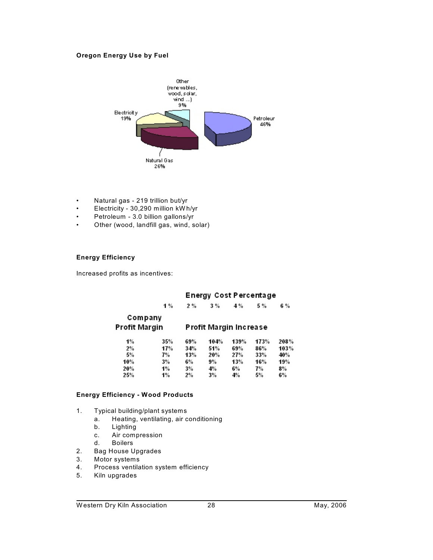# **Oregon Energy Use by Fuel**



- Natural gas 219 trillion but/yr
- Electricity 30,290 million kW h/yr
- Petroleum 3.0 billion gallons/yr
- Other (wood, landfill gas, wind, solar)

# **Energy Efficiency**

Increased profits as incentives:

# **Energy Cost Percentage**

|               | 1%  | 2%                     | 3%   | 4 %  | 5 %  | 6 %   |  |
|---------------|-----|------------------------|------|------|------|-------|--|
| Company       |     |                        |      |      |      |       |  |
| Profit Margin |     | Profit Margin Increase |      |      |      |       |  |
| $1\%$         | 35% | 69%                    | 104% | 139% | 173% | 208%  |  |
| 2%            | 17% | 34%                    | 51%  | 69%  | 86%  | 103%  |  |
| 5%            | 7%  | 13%                    | 20%  | 27%  | 33%  | 40%   |  |
| 10%           | 3%  | 6%                     | 9%   | 13%  | 16%  | 19%   |  |
| 20%           | 1%  | 3%                     | 4%   | 6%   | 7%   | $3\%$ |  |
| 25%           | 1%  | 2%                     | 3%   | 4%   | 5%   | 6%    |  |

## **Energy Efficiency - Wood Products**

- 1. Typical building/plant systems
	- a. Heating, ventilating, air conditioning
	- b. Lighting
	- c. Air compression
	- d. Boilers
- 2. Bag House Upgrades
- 3. Motor systems
- 4. Process ventilation system efficiency
- 5. Kiln upgrades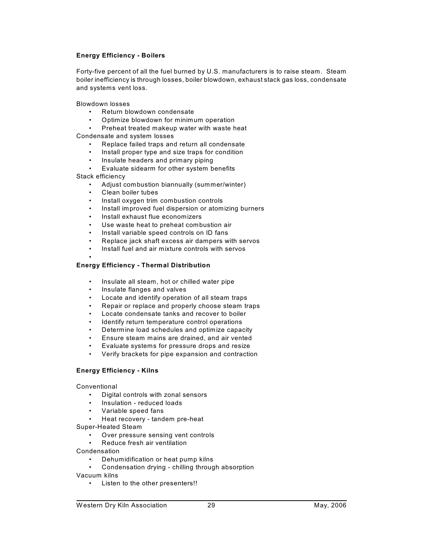## **Energy Efficiency - Boilers**

Forty-five percent of all the fuel burned by U.S. manufacturers is to raise steam. Steam boiler inefficiency is through losses, boiler blowdown, exhaust stack gas loss, condensate and systems vent loss.

Blowdown losses

- Return blowdown condensate
- Optimize blowdown for minimum operation

• Preheat treated makeup water with waste heat

Condensate and system losses

- Replace failed traps and return all condensate
- Install proper type and size traps for condition
- Insulate headers and primary piping
- Evaluate sidearm for other system benefits

Stack efficiency

•

- Adjust combustion biannually (summer/winter)
- Clean boiler tubes
- Install oxygen trim combustion controls
- Install improved fuel dispersion or atomizing burners
- Install exhaust flue economizers
- Use waste heat to preheat combustion air
- Install variable speed controls on ID fans
- Replace jack shaft excess air dampers with servos
- Install fuel and air mixture controls with servos

# **Energy Efficiency - Thermal Distribution**

- Insulate all steam, hot or chilled water pipe
- Insulate flanges and valves
- Locate and identify operation of all steam traps
- Repair or replace and properly choose steam traps
- Locate condensate tanks and recover to boiler
- Identify return temperature control operations
- Determine load schedules and optimize capacity
- Ensure steam mains are drained, and air vented
- Evaluate systems for pressure drops and resize
- Verify brackets for pipe expansion and contraction

# **Energy Efficiency - Kilns**

**Conventional** 

- Digital controls with zonal sensors
- Insulation reduced loads
- Variable speed fans
- Heat recovery tandem pre-heat
- Super-Heated Steam
	- Over pressure sensing vent controls
	- Reduce fresh air ventilation
- Condensation
	- Dehumidification or heat pump kilns
	- Condensation drying chilling through absorption
- Vacuum kilns
	- Listen to the other presenters!!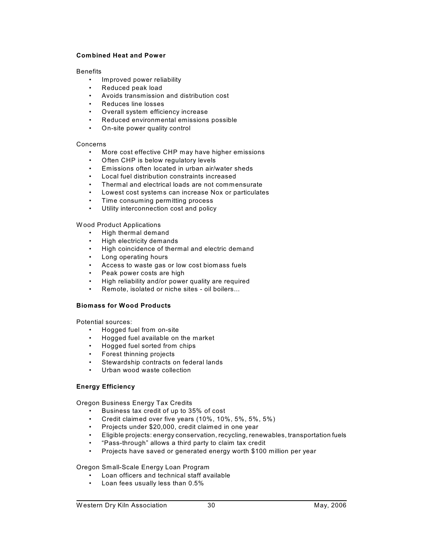#### **Combined Heat and Power**

#### Benefits

- Improved power reliability
- Reduced peak load
- Avoids transmission and distribution cost
- Reduces line losses
- Overall system efficiency increase
- Reduced environmental emissions possible
- On-site power quality control

# Concerns

- More cost effective CHP may have higher emissions
- Often CHP is below regulatory levels
- Emissions often located in urban air/water sheds
- Local fuel distribution constraints increased
- Thermal and electrical loads are not commensurate
- Lowest cost systems can increase Nox or particulates
- Time consuming permitting process
- Utility interconnection cost and policy

W ood Product Applications

- High thermal demand
- High electricity demands
- High coincidence of thermal and electric demand
- Long operating hours
- Access to waste gas or low cost biomass fuels
- Peak power costs are high
- High reliability and/or power quality are required
- Remote, isolated or niche sites oil boilers...

#### **Biomass for Wood Products**

Potential sources:

- Hogged fuel from on-site
- Hogged fuel available on the market
- Hogged fuel sorted from chips
- Forest thinning projects
- Stewardship contracts on federal lands
- Urban wood waste collection

# **Energy Efficiency**

Oregon Business Energy Tax Credits

- 
- Business tax credit of up to 35% of cost<br>• Credit claimed over five years (10%, 10% • Credit claimed over five years (10%, 10%, 5%, 5%, 5%)
- Projects under \$20,000, credit claimed in one year
- Eligible projects: energy conservation, recycling, renewables, transportation fuels
- "Pass-through" allows a third party to claim tax credit
- Projects have saved or generated energy worth \$100 million per year

Oregon Small-Scale Energy Loan Program

- Loan officers and technical staff available
- Loan fees usually less than 0.5%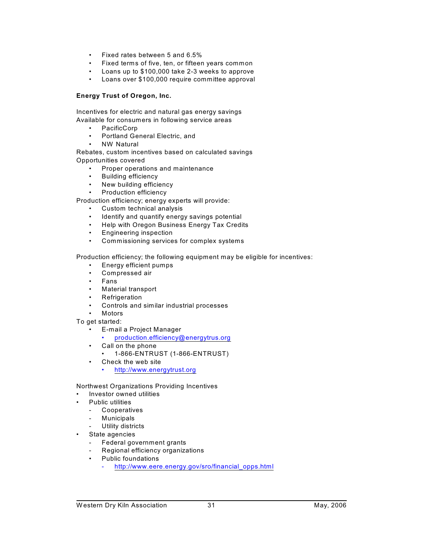- Fixed rates between 5 and 6.5%
- Fixed terms of five, ten, or fifteen years common
- Loans up to \$100,000 take 2-3 weeks to approve
- Loans over \$100,000 require committee approval

## **Energy Trust of Oregon, Inc.**

Incentives for electric and natural gas energy savings Available for consumers in following service areas

- PacificCorp
- Portland General Electric, and
- **NW Natural**

Rebates, custom incentives based on calculated savings Opportunities covered

- Proper operations and maintenance
- Building efficiency
- New building efficiency
- Production efficiency

Production efficiency; energy experts will provide:

- Custom technical analysis
- Identify and quantify energy savings potential
- Help with Oregon Business Energy Tax Credits
- Engineering inspection
- Commissioning services for complex systems

Production efficiency; the following equipment may be eligible for incentives:

- Energy efficient pumps
- Compressed air
- Fans
- Material transport
- **Refrigeration**
- Controls and similar industrial processes
- Motors
- To get started:
	- E-mail a Project Manager
		- [production.efficiency@energytrus.org](mailto:production.efficiency@energytrus.org)
	- Call on the phone
		- 1-866-ENTRUST (1-866-ENTRUST)
	- Check the web site
		- <http://www.energytrust.org>
- Northwest Organizations Providing Incentives
	- Investor owned utilities
- Public utilities
	- Cooperatives
	- **Municipals**
	- Utility districts
	- State agencies
		- Federal government grants
		- Regional efficiency organizations
		- Public foundations
			- [http://www.eere.energy.gov/sro/financial\\_opps.html](http://www.eere.energy.gov/sro/financial_opps.html)